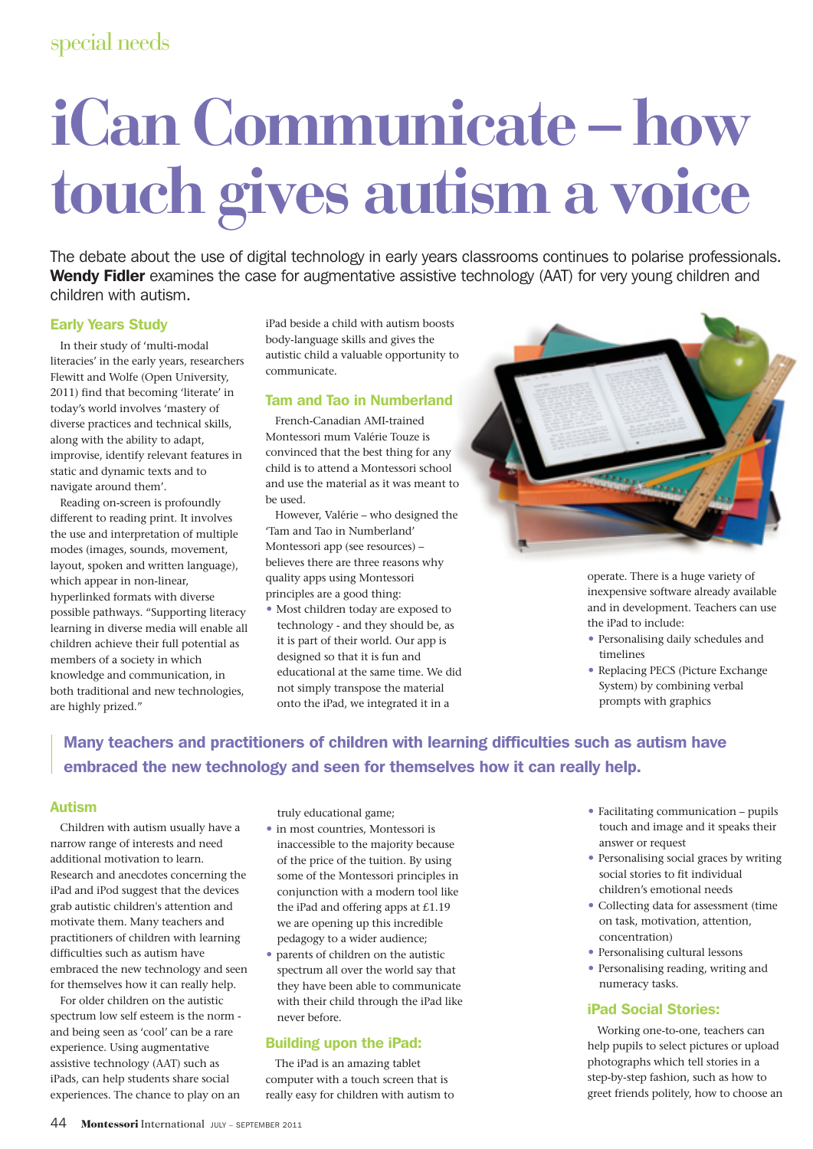# **iCan Communicate – how touch gives autism a voice**

The debate about the use of digital technology in early years classrooms continues to polarise professionals. Wendy Fidler examines the case for augmentative assistive technology (AAT) for very young children and children with autism.

# Early Years Study

In their study of 'multi-modal literacies' in the early years, researchers Flewitt and Wolfe (Open University, 2011) find that becoming 'literate' in today's world involves 'mastery of diverse practices and technical skills, along with the ability to adapt, improvise, identify relevant features in static and dynamic texts and to navigate around them'.

Reading on-screen is profoundly different to reading print. It involves the use and interpretation of multiple modes (images, sounds, movement, layout, spoken and written language), which appear in non-linear, hyperlinked formats with diverse possible pathways. "Supporting literacy learning in diverse media will enable all children achieve their full potential as members of a society in which knowledge and communication, in both traditional and new technologies, are highly prized."

iPad beside a child with autism boosts body-language skills and gives the autistic child a valuable opportunity to communicate.

# Tam and Tao in Numberland

French-Canadian AMI-trained Montessori mum Valérie Touze is convinced that the best thing for any child is to attend a Montessori school and use the material as it was meant to be used.

However, Valérie – who designed the 'Tam and Tao in Numberland' Montessori app (see resources) – believes there are three reasons why quality apps using Montessori principles are a good thing:

 Most children today are exposed to technology - and they should be, as it is part of their world. Our app is designed so that it is fun and educational at the same time. We did not simply transpose the material onto the iPad, we integrated it in a



operate. There is a huge variety of inexpensive software already available and in development. Teachers can use the iPad to include:

- Personalising daily schedules and timelines
- Replacing PECS (Picture Exchange System) by combining verbal prompts with graphics

# Many teachers and practitioners of children with learning difficulties such as autism have embraced the new technology and seen for themselves how it can really help.

## Autism

Children with autism usually have a narrow range of interests and need additional motivation to learn. Research and anecdotes concerning the iPad and iPod suggest that the devices grab autistic children's attention and motivate them. Many teachers and practitioners of children with learning difficulties such as autism have embraced the new technology and seen for themselves how it can really help.

For older children on the autistic spectrum low self esteem is the norm and being seen as 'cool' can be a rare experience. Using augmentative assistive technology (AAT) such as iPads, can help students share social experiences. The chance to play on an truly educational game;

- in most countries, Montessori is inaccessible to the majority because of the price of the tuition. By using some of the Montessori principles in conjunction with a modern tool like the iPad and offering apps at £1.19 we are opening up this incredible pedagogy to a wider audience;
- parents of children on the autistic spectrum all over the world say that they have been able to communicate with their child through the iPad like never before.

# Building upon the iPad:

The iPad is an amazing tablet computer with a touch screen that is really easy for children with autism to

- Facilitating communication pupils touch and image and it speaks their answer or request
- Personalising social graces by writing social stories to fit individual children's emotional needs
- Collecting data for assessment (time on task, motivation, attention, concentration)
- Personalising cultural lessons
- Personalising reading, writing and numeracy tasks.

# iPad Social Stories:

Working one-to-one, teachers can help pupils to select pictures or upload photographs which tell stories in a step-by-step fashion, such as how to greet friends politely, how to choose an